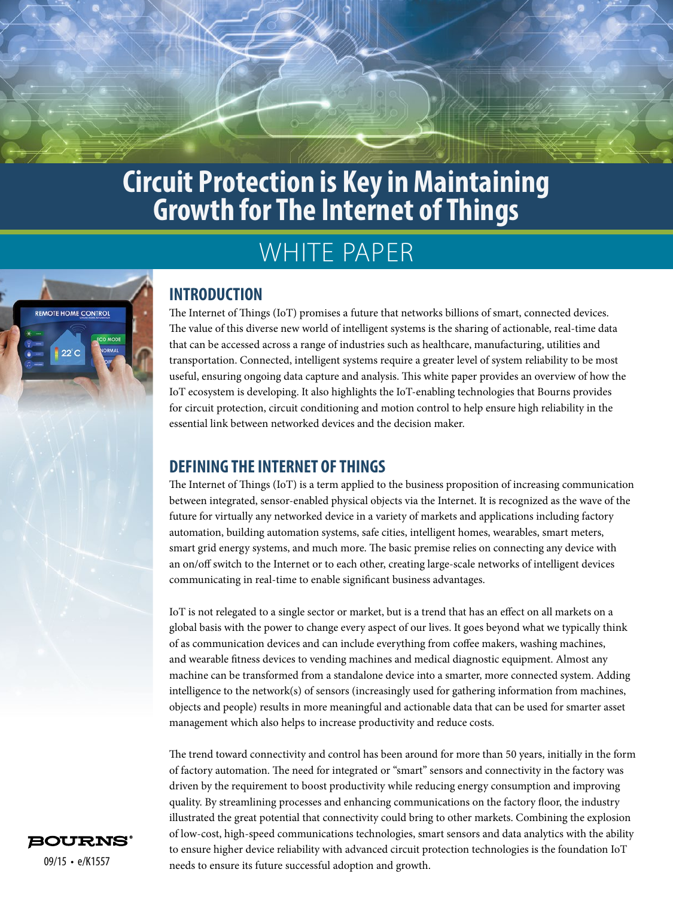

# WHITE PAPER



## **INTRODUCTION**

The Internet of Things (IoT) promises a future that networks billions of smart, connected devices. The value of this diverse new world of intelligent systems is the sharing of actionable, real-time data that can be accessed across a range of industries such as healthcare, manufacturing, utilities and transportation. Connected, intelligent systems require a greater level of system reliability to be most useful, ensuring ongoing data capture and analysis. This white paper provides an overview of how the IoT ecosystem is developing. It also highlights the IoT-enabling technologies that Bourns provides for circuit protection, circuit conditioning and motion control to help ensure high reliability in the essential link between networked devices and the decision maker.

## **DEFINING THE INTERNET OF THINGS**

The Internet of Things (IoT) is a term applied to the business proposition of increasing communication between integrated, sensor-enabled physical objects via the Internet. It is recognized as the wave of the future for virtually any networked device in a variety of markets and applications including factory automation, building automation systems, safe cities, intelligent homes, wearables, smart meters, smart grid energy systems, and much more. The basic premise relies on connecting any device with an on/off switch to the Internet or to each other, creating large-scale networks of intelligent devices communicating in real-time to enable significant business advantages.

IoT is not relegated to a single sector or market, but is a trend that has an effect on all markets on a global basis with the power to change every aspect of our lives. It goes beyond what we typically think of as communication devices and can include everything from coffee makers, washing machines, and wearable fitness devices to vending machines and medical diagnostic equipment. Almost any machine can be transformed from a standalone device into a smarter, more connected system. Adding intelligence to the network(s) of sensors (increasingly used for gathering information from machines, objects and people) results in more meaningful and actionable data that can be used for smarter asset management which also helps to increase productivity and reduce costs.

The trend toward connectivity and control has been around for more than 50 years, initially in the form of factory automation. The need for integrated or "smart" sensors and connectivity in the factory was driven by the requirement to boost productivity while reducing energy consumption and improving quality. By streamlining processes and enhancing communications on the factory floor, the industry illustrated the great potential that connectivity could bring to other markets. Combining the explosion of low-cost, high-speed communications technologies, smart sensors and data analytics with the ability to ensure higher device reliability with advanced circuit protection technologies is the foundation IoT needs to ensure its future successful adoption and growth.

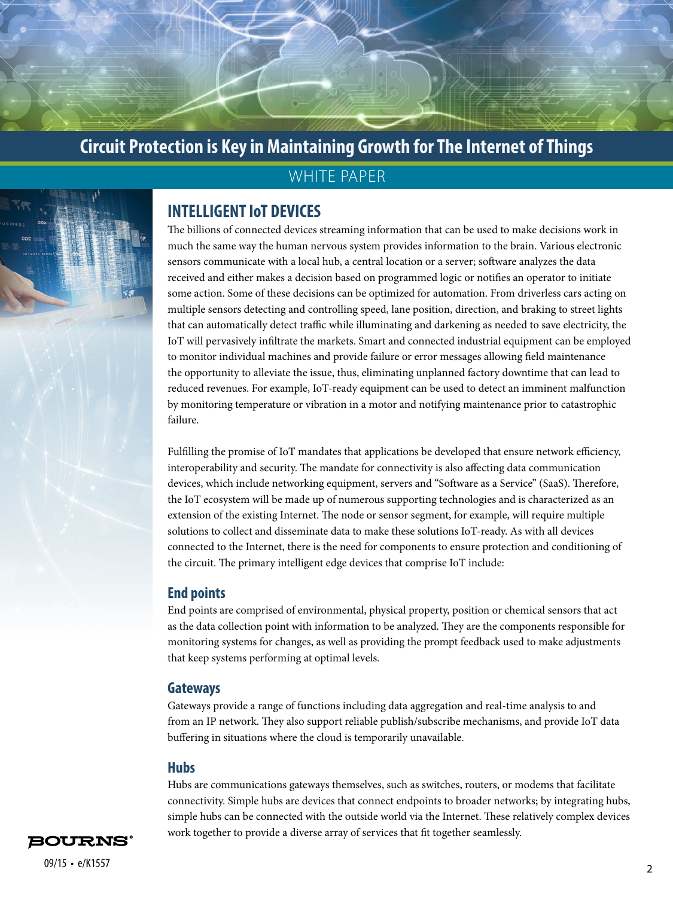## WHITE PAPER

## **INTELLIGENT IoT DEVICES**

The billions of connected devices streaming information that can be used to make decisions work in much the same way the human nervous system provides information to the brain. Various electronic sensors communicate with a local hub, a central location or a server; software analyzes the data received and either makes a decision based on programmed logic or notifies an operator to initiate some action. Some of these decisions can be optimized for automation. From driverless cars acting on multiple sensors detecting and controlling speed, lane position, direction, and braking to street lights that can automatically detect traffic while illuminating and darkening as needed to save electricity, the IoT will pervasively infiltrate the markets. Smart and connected industrial equipment can be employed to monitor individual machines and provide failure or error messages allowing field maintenance the opportunity to alleviate the issue, thus, eliminating unplanned factory downtime that can lead to reduced revenues. For example, IoT-ready equipment can be used to detect an imminent malfunction by monitoring temperature or vibration in a motor and notifying maintenance prior to catastrophic failure.

Fulfilling the promise of IoT mandates that applications be developed that ensure network efficiency, interoperability and security. The mandate for connectivity is also affecting data communication devices, which include networking equipment, servers and "Software as a Service" (SaaS). Therefore, the IoT ecosystem will be made up of numerous supporting technologies and is characterized as an extension of the existing Internet. The node or sensor segment, for example, will require multiple solutions to collect and disseminate data to make these solutions IoT-ready. As with all devices connected to the Internet, there is the need for components to ensure protection and conditioning of the circuit. The primary intelligent edge devices that comprise IoT include:

#### **End points**

End points are comprised of environmental, physical property, position or chemical sensors that act as the data collection point with information to be analyzed. They are the components responsible for monitoring systems for changes, as well as providing the prompt feedback used to make adjustments that keep systems performing at optimal levels.

#### **Gateways**

Gateways provide a range of functions including data aggregation and real-time analysis to and from an IP network. They also support reliable publish/subscribe mechanisms, and provide IoT data buffering in situations where the cloud is temporarily unavailable.

#### **Hubs**

Hubs are communications gateways themselves, such as switches, routers, or modems that facilitate connectivity. Simple hubs are devices that connect endpoints to broader networks; by integrating hubs, simple hubs can be connected with the outside world via the Internet. These relatively complex devices work together to provide a diverse array of services that fit together seamlessly.

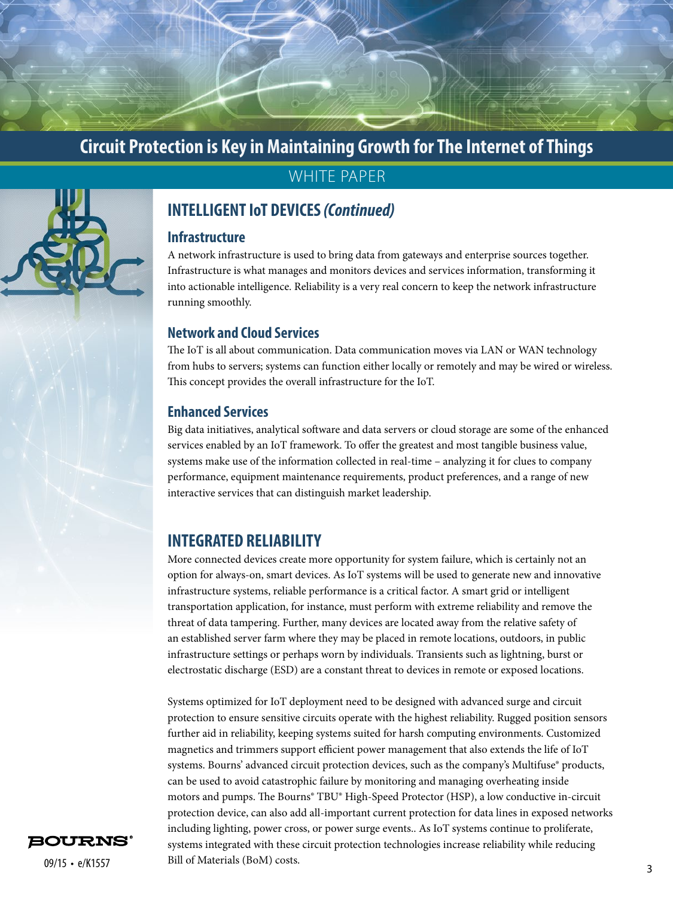

## WHITE PAPER

## **INTELLIGENT IoT DEVICES** *(Continued)*

#### **Infrastructure**

A network infrastructure is used to bring data from gateways and enterprise sources together. Infrastructure is what manages and monitors devices and services information, transforming it into actionable intelligence. Reliability is a very real concern to keep the network infrastructure running smoothly.

#### **Network and Cloud Services**

The IoT is all about communication. Data communication moves via LAN or WAN technology from hubs to servers; systems can function either locally or remotely and may be wired or wireless. This concept provides the overall infrastructure for the IoT.

#### **Enhanced Services**

Big data initiatives, analytical software and data servers or cloud storage are some of the enhanced services enabled by an IoT framework. To offer the greatest and most tangible business value, systems make use of the information collected in real-time – analyzing it for clues to company performance, equipment maintenance requirements, product preferences, and a range of new interactive services that can distinguish market leadership.

#### **INTEGRATED RELIABILITY**

More connected devices create more opportunity for system failure, which is certainly not an option for always-on, smart devices. As IoT systems will be used to generate new and innovative infrastructure systems, reliable performance is a critical factor. A smart grid or intelligent transportation application, for instance, must perform with extreme reliability and remove the threat of data tampering. Further, many devices are located away from the relative safety of an established server farm where they may be placed in remote locations, outdoors, in public infrastructure settings or perhaps worn by individuals. Transients such as lightning, burst or electrostatic discharge (ESD) are a constant threat to devices in remote or exposed locations.

 $\mu$  09/15 • e/K1557 Bill of Materials (BoM) costs. Systems optimized for IoT deployment need to be designed with advanced surge and circuit protection to ensure sensitive circuits operate with the highest reliability. Rugged position sensors further aid in reliability, keeping systems suited for harsh computing environments. Customized magnetics and trimmers support efficient power management that also extends the life of IoT systems. Bourns' advanced circuit protection devices, such as the company's Multifuse® products, can be used to avoid catastrophic failure by monitoring and managing overheating inside motors and pumps. The Bourns® TBU® High-Speed Protector (HSP), a low conductive in-circuit protection device, can also add all-important current protection for data lines in exposed networks including lighting, power cross, or power surge events.. As IoT systems continue to proliferate, systems integrated with these circuit protection technologies increase reliability while reducing Bill of Materials (BoM) costs.

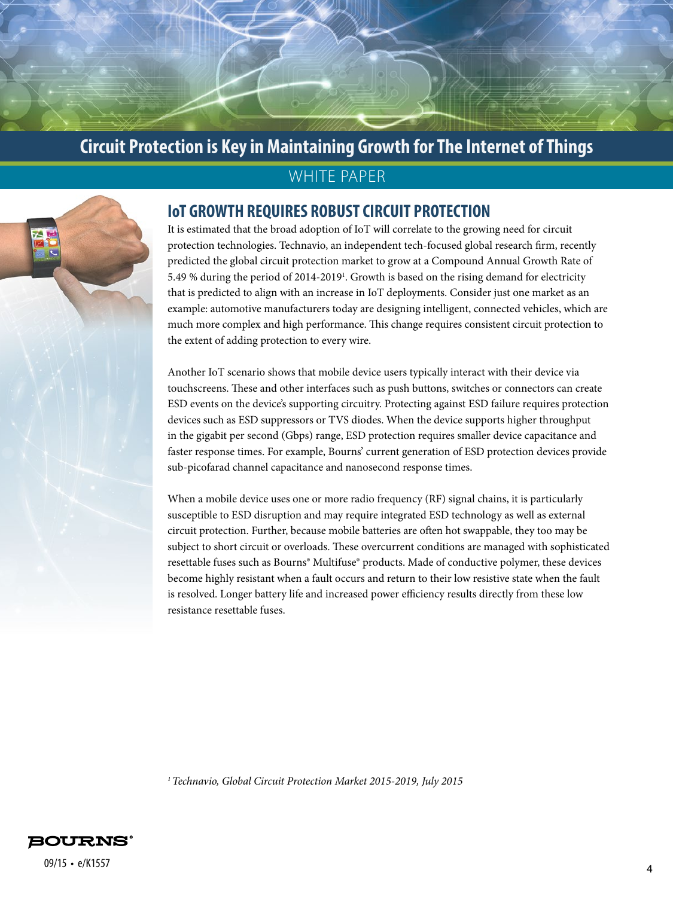## WHITE PAPER

### **IoT GROWTH REQUIRES ROBUST CIRCUIT PROTECTION**

It is estimated that the broad adoption of IoT will correlate to the growing need for circuit protection technologies. Technavio, an independent tech-focused global research firm, recently predicted the global circuit protection market to grow at a Compound Annual Growth Rate of 5.49 % during the period of 2014-2019<sup>1</sup>. Growth is based on the rising demand for electricity that is predicted to align with an increase in IoT deployments. Consider just one market as an example: automotive manufacturers today are designing intelligent, connected vehicles, which are much more complex and high performance. This change requires consistent circuit protection to the extent of adding protection to every wire.

Another IoT scenario shows that mobile device users typically interact with their device via touchscreens. These and other interfaces such as push buttons, switches or connectors can create ESD events on the device's supporting circuitry. Protecting against ESD failure requires protection devices such as ESD suppressors or TVS diodes. When the device supports higher throughput in the gigabit per second (Gbps) range, ESD protection requires smaller device capacitance and faster response times. For example, Bourns' current generation of ESD protection devices provide sub-picofarad channel capacitance and nanosecond response times.

When a mobile device uses one or more radio frequency (RF) signal chains, it is particularly susceptible to ESD disruption and may require integrated ESD technology as well as external circuit protection. Further, because mobile batteries are often hot swappable, they too may be subject to short circuit or overloads. These overcurrent conditions are managed with sophisticated resettable fuses such as Bourns® Multifuse® products. Made of conductive polymer, these devices become highly resistant when a fault occurs and return to their low resistive state when the fault is resolved. Longer battery life and increased power efficiency results directly from these low resistance resettable fuses.

*1 Technavio, Global Circuit Protection Market 2015-2019, July 2015*